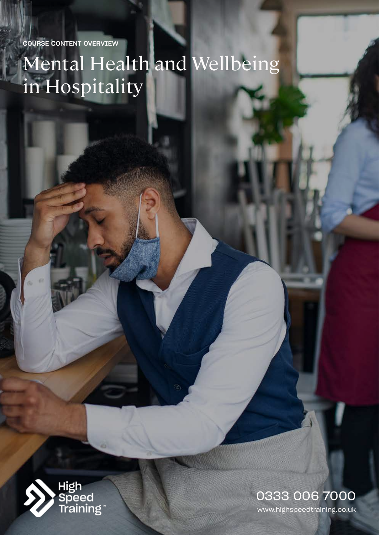COURSE CONTENT OVERVIEW

# Mental Health and Wellbeing in Hospitality



www.highspeedtraining.co.uk 0333 006 7000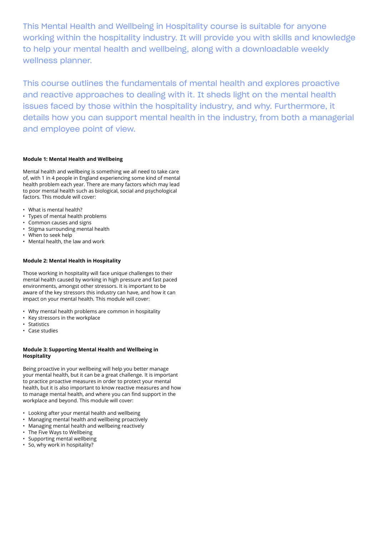This Mental Health and Wellbeing in Hospitality course is suitable for anyone working within the hospitality industry. It will provide you with skills and knowledge to help your mental health and wellbeing, along with a downloadable weekly wellness planner.

This course outlines the fundamentals of mental health and explores proactive and reactive approaches to dealing with it. It sheds light on the mental health issues faced by those within the hospitality industry, and why. Furthermore, it details how you can support mental health in the industry, from both a managerial and employee point of view.

### **Module 1: Mental Health and Wellbeing**

Mental health and wellbeing is something we all need to take care of, with 1 in 4 people in England experiencing some kind of mental health problem each year. There are many factors which may lead to poor mental health such as biological, social and psychological factors. This module will cover:

- What is mental health?
- Types of mental health problems
- Common causes and signs
- Stigma surrounding mental health
- When to seek help
- Mental health, the law and work

## **Module 2: Mental Health in Hospitality**

Those working in hospitality will face unique challenges to their mental health caused by working in high pressure and fast paced environments, amongst other stressors. It is important to be aware of the key stressors this industry can have, and how it can impact on your mental health. This module will cover:

- Why mental health problems are common in hospitality
- Key stressors in the workplace
- **Statistics**
- Case studies

### **Module 3: Supporting Mental Health and Wellbeing in Hospitality**

Being proactive in your wellbeing will help you better manage your mental health, but it can be a great challenge. It is important to practice proactive measures in order to protect your mental health, but it is also important to know reactive measures and how to manage mental health, and where you can find support in the workplace and beyond. This module will cover:

- Looking after your mental health and wellbeing
- Managing mental health and wellbeing proactively
- Managing mental health and wellbeing reactively
- The Five Ways to Wellbeing
- Supporting mental wellbeing
- So, why work in hospitality?